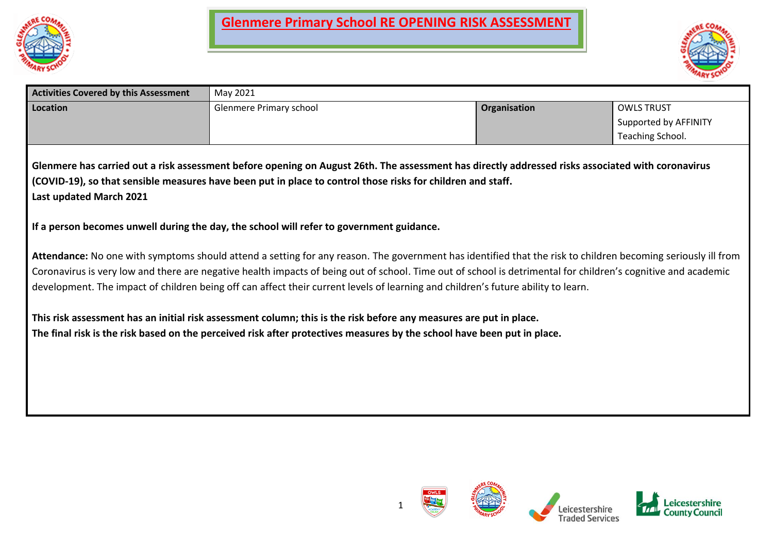



| Activities Covered by this Assessment                                                    | May 2021                                                                                                                                                                                                                                                                                                                      |              |                       |  |  |  |  |  |  |  |  |  |
|------------------------------------------------------------------------------------------|-------------------------------------------------------------------------------------------------------------------------------------------------------------------------------------------------------------------------------------------------------------------------------------------------------------------------------|--------------|-----------------------|--|--|--|--|--|--|--|--|--|
| Location                                                                                 | <b>Glenmere Primary school</b>                                                                                                                                                                                                                                                                                                | Organisation | <b>OWLS TRUST</b>     |  |  |  |  |  |  |  |  |  |
|                                                                                          |                                                                                                                                                                                                                                                                                                                               |              | Supported by AFFINITY |  |  |  |  |  |  |  |  |  |
|                                                                                          |                                                                                                                                                                                                                                                                                                                               |              | Teaching School.      |  |  |  |  |  |  |  |  |  |
|                                                                                          |                                                                                                                                                                                                                                                                                                                               |              |                       |  |  |  |  |  |  |  |  |  |
|                                                                                          | Glenmere has carried out a risk assessment before opening on August 26th. The assessment has directly addressed risks associated with coronavirus                                                                                                                                                                             |              |                       |  |  |  |  |  |  |  |  |  |
|                                                                                          | (COVID-19), so that sensible measures have been put in place to control those risks for children and staff.                                                                                                                                                                                                                   |              |                       |  |  |  |  |  |  |  |  |  |
| Last updated March 2021                                                                  |                                                                                                                                                                                                                                                                                                                               |              |                       |  |  |  |  |  |  |  |  |  |
|                                                                                          |                                                                                                                                                                                                                                                                                                                               |              |                       |  |  |  |  |  |  |  |  |  |
| If a person becomes unwell during the day, the school will refer to government guidance. |                                                                                                                                                                                                                                                                                                                               |              |                       |  |  |  |  |  |  |  |  |  |
|                                                                                          | Attendance: No one with symptoms should attend a setting for any reason. The government has identified that the risk to children becoming seriously ill from<br>Coronavirus is very low and there are negative health impacts of being out of school. Time out of school is detrimental for children's cognitive and academic |              |                       |  |  |  |  |  |  |  |  |  |
|                                                                                          | development. The impact of children being off can affect their current levels of learning and children's future ability to learn.                                                                                                                                                                                             |              |                       |  |  |  |  |  |  |  |  |  |
|                                                                                          | This risk assessment has an initial risk assessment column; this is the risk before any measures are put in place.                                                                                                                                                                                                            |              |                       |  |  |  |  |  |  |  |  |  |
|                                                                                          | The final risk is the risk based on the perceived risk after protectives measures by the school have been put in place.                                                                                                                                                                                                       |              |                       |  |  |  |  |  |  |  |  |  |
|                                                                                          |                                                                                                                                                                                                                                                                                                                               |              |                       |  |  |  |  |  |  |  |  |  |
|                                                                                          |                                                                                                                                                                                                                                                                                                                               |              |                       |  |  |  |  |  |  |  |  |  |
|                                                                                          |                                                                                                                                                                                                                                                                                                                               |              |                       |  |  |  |  |  |  |  |  |  |
|                                                                                          |                                                                                                                                                                                                                                                                                                                               |              |                       |  |  |  |  |  |  |  |  |  |
|                                                                                          |                                                                                                                                                                                                                                                                                                                               |              |                       |  |  |  |  |  |  |  |  |  |
|                                                                                          |                                                                                                                                                                                                                                                                                                                               |              |                       |  |  |  |  |  |  |  |  |  |

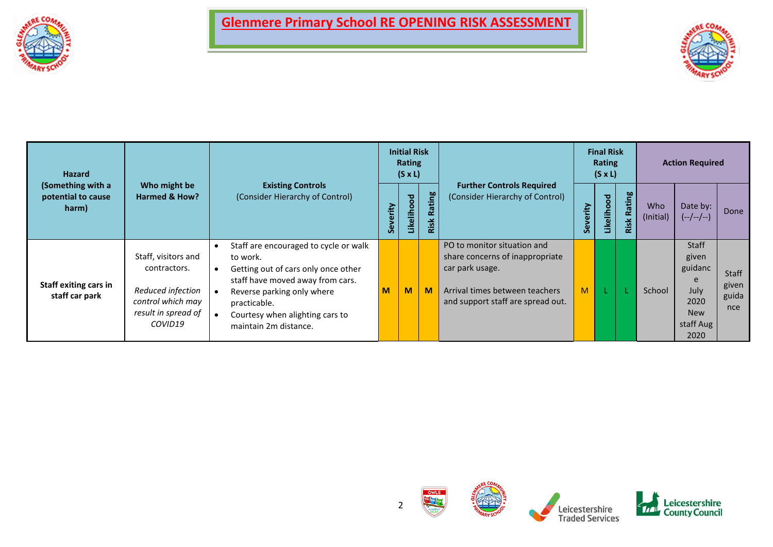



| <b>Hazard</b>                                    |                                                                                                                 |                                                                                                                                                                                                                                        |               | <b>Initial Risk</b><br>Rating<br>$(S \times L)$ |                    |                                                                                                                                                          |          | <b>Final Risk</b><br>Rating<br>$(S \times L)$ |                |                  | <b>Action Required</b>                                                              |                                |
|--------------------------------------------------|-----------------------------------------------------------------------------------------------------------------|----------------------------------------------------------------------------------------------------------------------------------------------------------------------------------------------------------------------------------------|---------------|-------------------------------------------------|--------------------|----------------------------------------------------------------------------------------------------------------------------------------------------------|----------|-----------------------------------------------|----------------|------------------|-------------------------------------------------------------------------------------|--------------------------------|
| (Something with a<br>potential to cause<br>harm) | Who might be<br>Harmed & How?                                                                                   | <b>Existing Controls</b><br>(Consider Hierarchy of Control)                                                                                                                                                                            | rity<br>Sever | ਠ<br>$\circ$<br>$\circ$<br>Likelih              | ating<br>œ<br>Risk | <b>Further Controls Required</b><br>(Consider Hierarchy of Control)                                                                                      | Severity | Likelihood                                    | Rating<br>Risk | Who<br>(Initial) | Date by:<br>$(-/-/-/-)$                                                             | Done                           |
| <b>Staff exiting cars in</b><br>staff car park   | Staff, visitors and<br>contractors.<br>Reduced infection<br>control which may<br>result in spread of<br>COVID19 | Staff are encouraged to cycle or walk<br>to work.<br>Getting out of cars only once other<br>staff have moved away from cars.<br>Reverse parking only where<br>practicable.<br>Courtesy when alighting cars to<br>maintain 2m distance. | M             | M                                               | M                  | PO to monitor situation and<br>share concerns of inappropriate<br>car park usage.<br>Arrival times between teachers<br>and support staff are spread out. | M        |                                               |                | School           | <b>Staff</b><br>given<br>guidanc<br>July<br>2020<br><b>New</b><br>staff Aug<br>2020 | Staff<br>given<br>guida<br>nce |



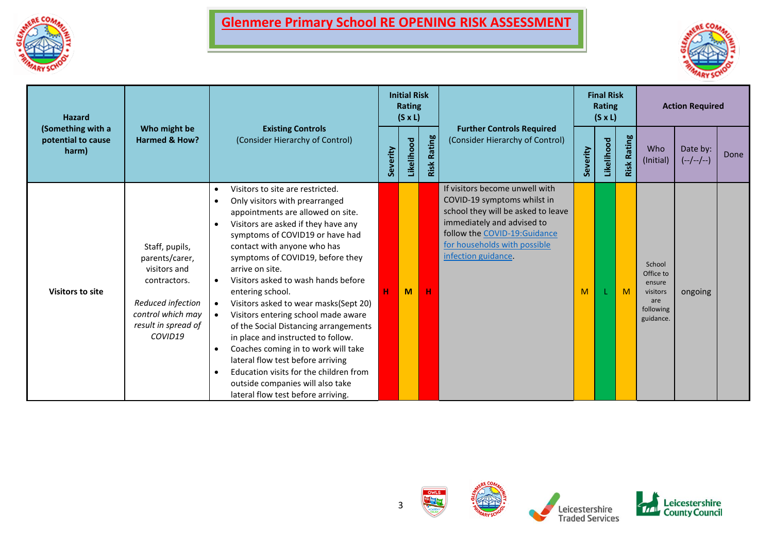



| <b>Hazard</b><br>(Something with a<br>potential to cause |                                                                                                                                              |                                                                                                                                                                                                                                                                                                                                                                                                                                                                                                                                                                                                                                                                                                                                                                         |          | <b>Initial Risk</b><br><b>Rating</b><br>$(S \times L)$ |                |                                                                                                                                                                                                                          |          | <b>Final Risk</b><br>Rating<br>$(S \times L)$ |                    |                                                                            | <b>Action Required</b>  |      |
|----------------------------------------------------------|----------------------------------------------------------------------------------------------------------------------------------------------|-------------------------------------------------------------------------------------------------------------------------------------------------------------------------------------------------------------------------------------------------------------------------------------------------------------------------------------------------------------------------------------------------------------------------------------------------------------------------------------------------------------------------------------------------------------------------------------------------------------------------------------------------------------------------------------------------------------------------------------------------------------------------|----------|--------------------------------------------------------|----------------|--------------------------------------------------------------------------------------------------------------------------------------------------------------------------------------------------------------------------|----------|-----------------------------------------------|--------------------|----------------------------------------------------------------------------|-------------------------|------|
| harm)                                                    | Who might be<br><b>Harmed &amp; How?</b>                                                                                                     | <b>Existing Controls</b><br>(Consider Hierarchy of Control)                                                                                                                                                                                                                                                                                                                                                                                                                                                                                                                                                                                                                                                                                                             | Severity | Likelihood                                             | Rating<br>Risk | <b>Further Controls Required</b><br>(Consider Hierarchy of Control)                                                                                                                                                      | Severity | Likelihood                                    | <b>Risk Rating</b> | Who<br>(Initial)                                                           | Date by:<br>$(-/-/-/-)$ | Done |
| <b>Visitors to site</b>                                  | Staff, pupils,<br>parents/carer,<br>visitors and<br>contractors.<br>Reduced infection<br>control which may<br>result in spread of<br>COVID19 | Visitors to site are restricted.<br>Only visitors with prearranged<br>٠<br>appointments are allowed on site.<br>Visitors are asked if they have any<br>$\bullet$<br>symptoms of COVID19 or have had<br>contact with anyone who has<br>symptoms of COVID19, before they<br>arrive on site.<br>Visitors asked to wash hands before<br>$\bullet$<br>entering school.<br>Visitors asked to wear masks(Sept 20)<br>$\bullet$<br>Visitors entering school made aware<br>$\bullet$<br>of the Social Distancing arrangements<br>in place and instructed to follow.<br>Coaches coming in to work will take<br>$\bullet$<br>lateral flow test before arriving<br>Education visits for the children from<br>outside companies will also take<br>lateral flow test before arriving. | н        | M                                                      | н              | If visitors become unwell with<br>COVID-19 symptoms whilst in<br>school they will be asked to leave<br>immediately and advised to<br>follow the COVID-19:Guidance<br>for households with possible<br>infection guidance. | M        |                                               | M                  | School<br>Office to<br>ensure<br>visitors<br>are<br>following<br>guidance. | ongoing                 |      |



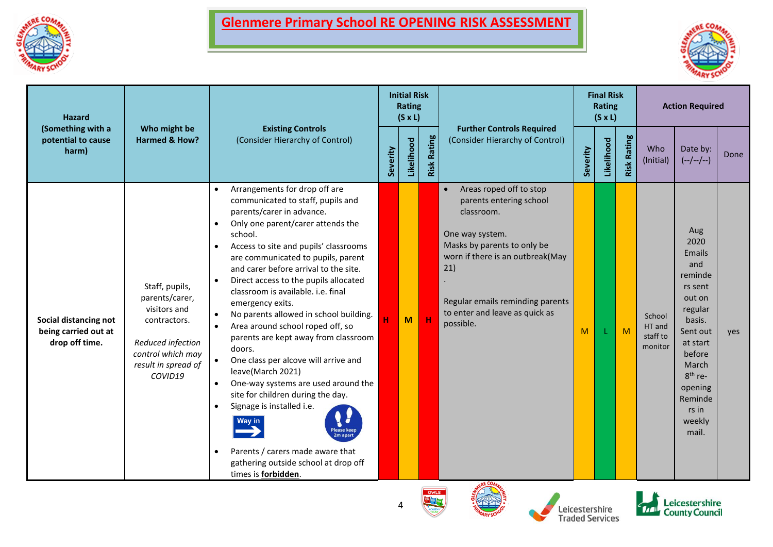



| <b>Hazard</b><br>(Something with a<br>potential to cause        |                                                                                                                                              |                                                                                                                                                                                                                                                                                                                                                                                                                                                                                                                                                                                                                                                                                                                                                                                                                                                                                           |          | <b>Initial Risk</b><br>Rating<br>$(S \times L)$ |                    |                                                                                                                                                                                                                                                               |          | <b>Final Risk</b><br><b>Rating</b><br>$(S \times L)$ |                    |                                         | <b>Action Required</b>                                                                                                                                                                      |      |
|-----------------------------------------------------------------|----------------------------------------------------------------------------------------------------------------------------------------------|-------------------------------------------------------------------------------------------------------------------------------------------------------------------------------------------------------------------------------------------------------------------------------------------------------------------------------------------------------------------------------------------------------------------------------------------------------------------------------------------------------------------------------------------------------------------------------------------------------------------------------------------------------------------------------------------------------------------------------------------------------------------------------------------------------------------------------------------------------------------------------------------|----------|-------------------------------------------------|--------------------|---------------------------------------------------------------------------------------------------------------------------------------------------------------------------------------------------------------------------------------------------------------|----------|------------------------------------------------------|--------------------|-----------------------------------------|---------------------------------------------------------------------------------------------------------------------------------------------------------------------------------------------|------|
| harm)                                                           | Who might be<br>Harmed & How?                                                                                                                | <b>Existing Controls</b><br>(Consider Hierarchy of Control)                                                                                                                                                                                                                                                                                                                                                                                                                                                                                                                                                                                                                                                                                                                                                                                                                               | Severity | Likelihood                                      | <b>Risk Rating</b> | <b>Further Controls Required</b><br>(Consider Hierarchy of Control)                                                                                                                                                                                           | Severity | Likelihood                                           | <b>Risk Rating</b> | Who<br>(Initial)                        | Date by:<br>$(-/-/-/-)$                                                                                                                                                                     | Done |
| Social distancing not<br>being carried out at<br>drop off time. | Staff, pupils,<br>parents/carer,<br>visitors and<br>contractors.<br>Reduced infection<br>control which may<br>result in spread of<br>COVID19 | Arrangements for drop off are<br>communicated to staff, pupils and<br>parents/carer in advance.<br>Only one parent/carer attends the<br>$\bullet$<br>school.<br>Access to site and pupils' classrooms<br>$\bullet$<br>are communicated to pupils, parent<br>and carer before arrival to the site.<br>Direct access to the pupils allocated<br>$\bullet$<br>classroom is available. i.e. final<br>emergency exits.<br>No parents allowed in school building.<br>Area around school roped off, so<br>parents are kept away from classroom<br>doors.<br>One class per alcove will arrive and<br>$\bullet$<br>leave(March 2021)<br>One-way systems are used around the<br>site for children during the day.<br>Signage is installed i.e.<br>$\bullet$<br>Way in<br>Please keep<br>2m apart<br>Parents / carers made aware that<br>gathering outside school at drop off<br>times is forbidden. | H.       | M                                               | $\mathbf{H}$       | Areas roped off to stop<br>$\bullet$<br>parents entering school<br>classroom.<br>One way system.<br>Masks by parents to only be<br>worn if there is an outbreak(May<br>21)<br>Regular emails reminding parents<br>to enter and leave as quick as<br>possible. | M        | L                                                    | $\overline{M}$     | School<br>HT and<br>staff to<br>monitor | Aug<br>2020<br>Emails<br>and<br>reminde<br>rs sent<br>out on<br>regular<br>basis.<br>Sent out<br>at start<br>before<br>March<br>$8th$ re-<br>opening<br>Reminde<br>rs in<br>weekly<br>mail. | yes  |
|                                                                 |                                                                                                                                              |                                                                                                                                                                                                                                                                                                                                                                                                                                                                                                                                                                                                                                                                                                                                                                                                                                                                                           |          |                                                 | <b>Cological</b>   |                                                                                                                                                                                                                                                               |          |                                                      |                    |                                         | Leicestershire                                                                                                                                                                              |      |





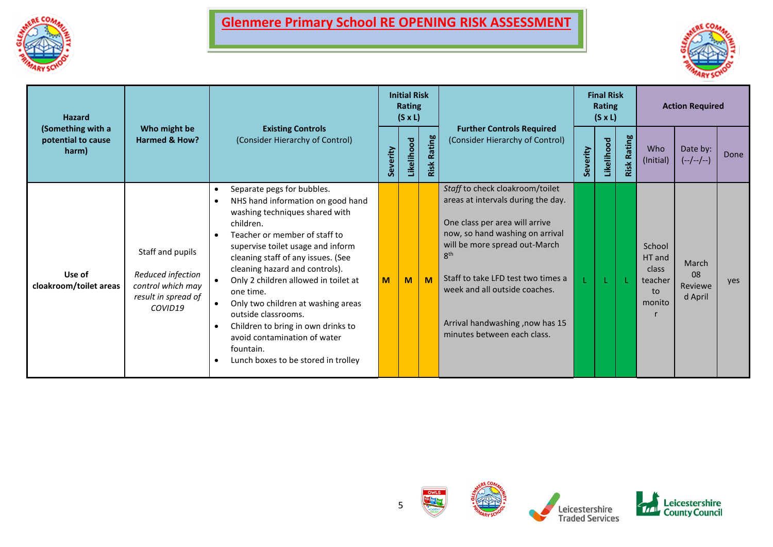



| <b>Hazard</b><br>(Something with a |                                                                                              |                                                                                                                                                                                                                                                                                                                                                                                                                                                                                                                                                              |          | <b>Initial Risk</b><br><b>Rating</b><br>$(S \times L)$ |                |                                                                                                                                                                                                                                                                                                                                         |          | <b>Final Risk</b><br><b>Rating</b><br>$(S \times L)$ |                    |                                                      | <b>Action Required</b>            |      |
|------------------------------------|----------------------------------------------------------------------------------------------|--------------------------------------------------------------------------------------------------------------------------------------------------------------------------------------------------------------------------------------------------------------------------------------------------------------------------------------------------------------------------------------------------------------------------------------------------------------------------------------------------------------------------------------------------------------|----------|--------------------------------------------------------|----------------|-----------------------------------------------------------------------------------------------------------------------------------------------------------------------------------------------------------------------------------------------------------------------------------------------------------------------------------------|----------|------------------------------------------------------|--------------------|------------------------------------------------------|-----------------------------------|------|
| potential to cause<br>harm)        | Who might be<br>Harmed & How?                                                                | <b>Existing Controls</b><br>(Consider Hierarchy of Control)                                                                                                                                                                                                                                                                                                                                                                                                                                                                                                  | Severity | Likelihood                                             | Rating<br>Risk | <b>Further Controls Required</b><br>(Consider Hierarchy of Control)                                                                                                                                                                                                                                                                     | Severity | Likelihood                                           | <b>Risk Rating</b> | Who<br>(Initial)                                     | Date by:<br>$(-/-/-/-)$           | Done |
| Use of<br>cloakroom/toilet areas   | Staff and pupils<br>Reduced infection<br>control which may<br>result in spread of<br>COVID19 | Separate pegs for bubbles.<br>$\bullet$<br>NHS hand information on good hand<br>washing techniques shared with<br>children.<br>Teacher or member of staff to<br>$\bullet$<br>supervise toilet usage and inform<br>cleaning staff of any issues. (See<br>cleaning hazard and controls).<br>Only 2 children allowed in toilet at<br>one time.<br>Only two children at washing areas<br>$\bullet$<br>outside classrooms.<br>Children to bring in own drinks to<br>$\bullet$<br>avoid contamination of water<br>fountain.<br>Lunch boxes to be stored in trolley | M        | M                                                      | M              | Staff to check cloakroom/toilet<br>areas at intervals during the day.<br>One class per area will arrive<br>now, so hand washing on arrival<br>will be more spread out-March<br>8 <sup>th</sup><br>Staff to take LFD test two times a<br>week and all outside coaches.<br>Arrival handwashing, now has 15<br>minutes between each class. |          |                                                      |                    | School<br>HT and<br>class<br>teacher<br>to<br>monito | March<br>08<br>Reviewe<br>d April | yes  |



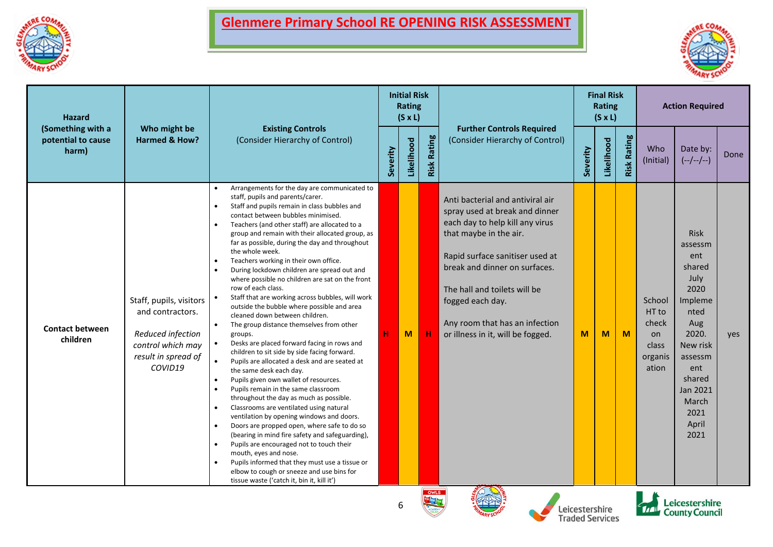



| <b>Hazard</b>                                    |                                                                                                                         |                                                                                                                                                                                                                                                                                                                                                                                                                                                                                                                                                                                                                                                                                                                                                                                                                                                                                                                                                                                                                                                                                                                                                                                                                                                                                                                                                                                                                                                                                                |          | <b>Initial Risk</b><br><b>Rating</b><br>$(S \times L)$ |                    |                                                                                                                                                                                                                                                                                                                                |          | <b>Final Risk</b><br>Rating<br>$(S \times L)$ |                    |                                                             | <b>Action Required</b>                                                                                                                                                                  |      |
|--------------------------------------------------|-------------------------------------------------------------------------------------------------------------------------|------------------------------------------------------------------------------------------------------------------------------------------------------------------------------------------------------------------------------------------------------------------------------------------------------------------------------------------------------------------------------------------------------------------------------------------------------------------------------------------------------------------------------------------------------------------------------------------------------------------------------------------------------------------------------------------------------------------------------------------------------------------------------------------------------------------------------------------------------------------------------------------------------------------------------------------------------------------------------------------------------------------------------------------------------------------------------------------------------------------------------------------------------------------------------------------------------------------------------------------------------------------------------------------------------------------------------------------------------------------------------------------------------------------------------------------------------------------------------------------------|----------|--------------------------------------------------------|--------------------|--------------------------------------------------------------------------------------------------------------------------------------------------------------------------------------------------------------------------------------------------------------------------------------------------------------------------------|----------|-----------------------------------------------|--------------------|-------------------------------------------------------------|-----------------------------------------------------------------------------------------------------------------------------------------------------------------------------------------|------|
| (Something with a<br>potential to cause<br>harm) | Who might be<br><b>Harmed &amp; How?</b>                                                                                | <b>Existing Controls</b><br>(Consider Hierarchy of Control)                                                                                                                                                                                                                                                                                                                                                                                                                                                                                                                                                                                                                                                                                                                                                                                                                                                                                                                                                                                                                                                                                                                                                                                                                                                                                                                                                                                                                                    | Severity | Likelihood                                             | <b>Risk Rating</b> | <b>Further Controls Required</b><br>(Consider Hierarchy of Control)                                                                                                                                                                                                                                                            | Severity | Likelihood                                    | <b>Risk Rating</b> | Who<br>(Initial)                                            | Date by:<br>$(-/-/-/-)$                                                                                                                                                                 | Done |
| <b>Contact between</b><br>children               | Staff, pupils, visitors<br>and contractors.<br>Reduced infection<br>control which may<br>result in spread of<br>COVID19 | Arrangements for the day are communicated to<br>staff, pupils and parents/carer.<br>Staff and pupils remain in class bubbles and<br>contact between bubbles minimised.<br>Teachers (and other staff) are allocated to a<br>group and remain with their allocated group, as<br>far as possible, during the day and throughout<br>the whole week.<br>Teachers working in their own office.<br>$\bullet$<br>During lockdown children are spread out and<br>where possible no children are sat on the front<br>row of each class.<br>Staff that are working across bubbles, will work<br>outside the bubble where possible and area<br>cleaned down between children.<br>The group distance themselves from other<br>$\bullet$<br>groups.<br>Desks are placed forward facing in rows and<br>$\bullet$<br>children to sit side by side facing forward.<br>Pupils are allocated a desk and are seated at<br>$\bullet$<br>the same desk each day.<br>Pupils given own wallet of resources.<br>Pupils remain in the same classroom<br>throughout the day as much as possible.<br>Classrooms are ventilated using natural<br>ventilation by opening windows and doors.<br>Doors are propped open, where safe to do so<br>(bearing in mind fire safety and safeguarding),<br>Pupils are encouraged not to touch their<br>$\bullet$<br>mouth, eyes and nose.<br>Pupils informed that they must use a tissue or<br>elbow to cough or sneeze and use bins for<br>tissue waste ('catch it, bin it, kill it') | н        | M                                                      | н                  | Anti bacterial and antiviral air<br>spray used at break and dinner<br>each day to help kill any virus<br>that maybe in the air.<br>Rapid surface sanitiser used at<br>break and dinner on surfaces.<br>The hall and toilets will be<br>fogged each day.<br>Any room that has an infection<br>or illness in it, will be fogged. | M        | M                                             | M                  | School<br>HT to<br>check<br>on<br>class<br>organis<br>ation | <b>Risk</b><br>assessm<br>ent<br>shared<br>July<br>2020<br>Impleme<br>nted<br>Aug<br>2020.<br>New risk<br>assessm<br>ent<br>shared<br><b>Jan 2021</b><br>March<br>2021<br>April<br>2021 | yes  |

OWLS **Poleo** 



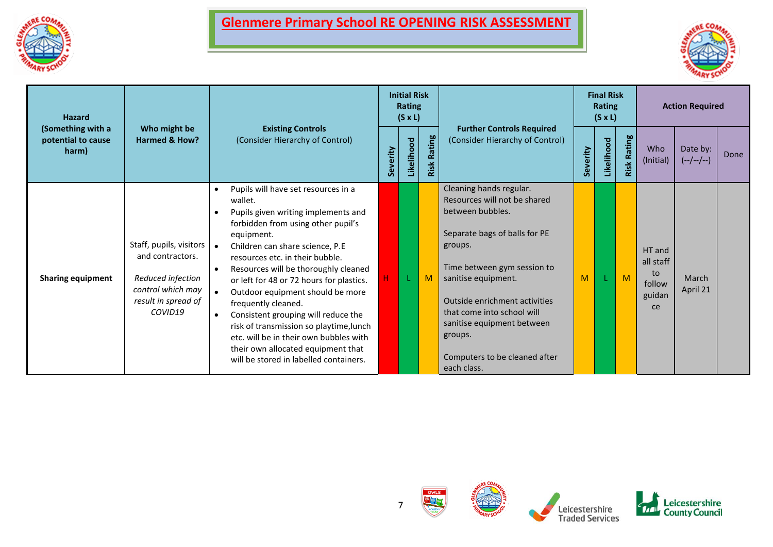



| <b>Hazard</b><br>(Something with a |                                                                                                                         |                                                                                                                                                                                                                                                                                                                                                                                                                                                                                                                                                                                                      |          | <b>Initial Risk</b><br><b>Rating</b><br>$(S \times L)$ |                |                                                                                                                                                                                                                                                                                                                                       |          | <b>Final Risk</b><br>Rating<br>$(S \times L)$ |                    |                                                     | <b>Action Required</b>  |      |
|------------------------------------|-------------------------------------------------------------------------------------------------------------------------|------------------------------------------------------------------------------------------------------------------------------------------------------------------------------------------------------------------------------------------------------------------------------------------------------------------------------------------------------------------------------------------------------------------------------------------------------------------------------------------------------------------------------------------------------------------------------------------------------|----------|--------------------------------------------------------|----------------|---------------------------------------------------------------------------------------------------------------------------------------------------------------------------------------------------------------------------------------------------------------------------------------------------------------------------------------|----------|-----------------------------------------------|--------------------|-----------------------------------------------------|-------------------------|------|
| potential to cause<br>harm)        | Who might be<br><b>Harmed &amp; How?</b>                                                                                | <b>Existing Controls</b><br>(Consider Hierarchy of Control)                                                                                                                                                                                                                                                                                                                                                                                                                                                                                                                                          | Severity | Likelihood                                             | Rating<br>Risk | <b>Further Controls Required</b><br>(Consider Hierarchy of Control)                                                                                                                                                                                                                                                                   | Severity | Likelihood                                    | <b>Risk Rating</b> | Who<br>(Initial)                                    | Date by:<br>$(-/-/-/-)$ | Done |
| <b>Sharing equipment</b>           | Staff, pupils, visitors<br>and contractors.<br>Reduced infection<br>control which may<br>result in spread of<br>COVID19 | Pupils will have set resources in a<br>wallet.<br>Pupils given writing implements and<br>forbidden from using other pupil's<br>equipment.<br>Children can share science, P.E<br>resources etc. in their bubble.<br>Resources will be thoroughly cleaned<br>$\bullet$<br>or left for 48 or 72 hours for plastics.<br>Outdoor equipment should be more<br>frequently cleaned.<br>Consistent grouping will reduce the<br>$\bullet$<br>risk of transmission so playtime, lunch<br>etc. will be in their own bubbles with<br>their own allocated equipment that<br>will be stored in labelled containers. |          |                                                        | M              | Cleaning hands regular.<br>Resources will not be shared<br>between bubbles.<br>Separate bags of balls for PE<br>groups.<br>Time between gym session to<br>sanitise equipment.<br>Outside enrichment activities<br>that come into school will<br>sanitise equipment between<br>groups.<br>Computers to be cleaned after<br>each class. | M        |                                               | M                  | HT and<br>all staff<br>to<br>follow<br>guidan<br>ce | March<br>April 21       |      |



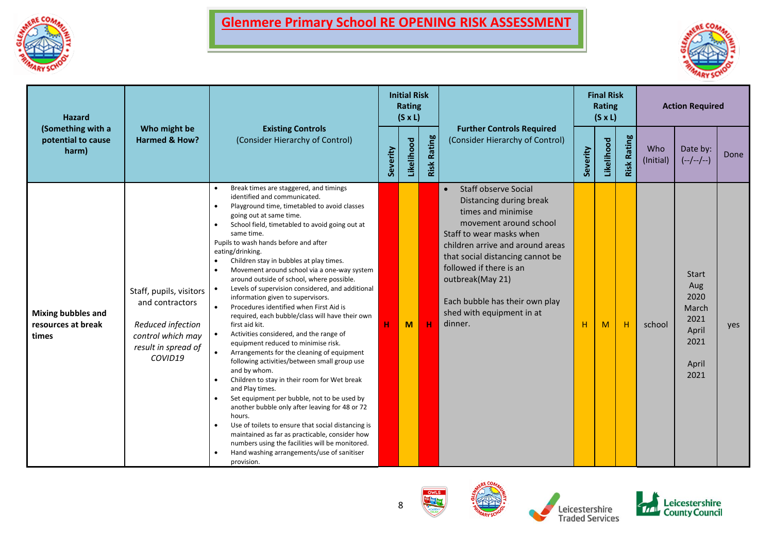



| <b>Hazard</b><br>(Something with a<br>potential to cause |                                                                                                                        |                                                                                                                                                                                                                                                                                                                                                                                                                                                                                                                                                                                                                                                                                                                                                                                                                                                                                                                                                                                                                                                                                                                                                                                                                                                                            |          | <b>Initial Risk</b><br><b>Rating</b><br>$(S \times L)$ |                    |                                                                                                                                                                                                                                                                                                                                                  |          | <b>Final Risk</b><br>Rating<br>$(S \times L)$ |                    |                  | <b>Action Required</b>                                                         |      |
|----------------------------------------------------------|------------------------------------------------------------------------------------------------------------------------|----------------------------------------------------------------------------------------------------------------------------------------------------------------------------------------------------------------------------------------------------------------------------------------------------------------------------------------------------------------------------------------------------------------------------------------------------------------------------------------------------------------------------------------------------------------------------------------------------------------------------------------------------------------------------------------------------------------------------------------------------------------------------------------------------------------------------------------------------------------------------------------------------------------------------------------------------------------------------------------------------------------------------------------------------------------------------------------------------------------------------------------------------------------------------------------------------------------------------------------------------------------------------|----------|--------------------------------------------------------|--------------------|--------------------------------------------------------------------------------------------------------------------------------------------------------------------------------------------------------------------------------------------------------------------------------------------------------------------------------------------------|----------|-----------------------------------------------|--------------------|------------------|--------------------------------------------------------------------------------|------|
| harm)                                                    | Who might be<br><b>Harmed &amp; How?</b>                                                                               | <b>Existing Controls</b><br>(Consider Hierarchy of Control)                                                                                                                                                                                                                                                                                                                                                                                                                                                                                                                                                                                                                                                                                                                                                                                                                                                                                                                                                                                                                                                                                                                                                                                                                | Severity | Likelihood                                             | <b>Risk Rating</b> | <b>Further Controls Required</b><br>(Consider Hierarchy of Control)                                                                                                                                                                                                                                                                              | Severity | Likelihood                                    | <b>Risk Rating</b> | Who<br>(Initial) | Date by:<br>$(-/-/-/-)$                                                        | Done |
| <b>Mixing bubbles and</b><br>resources at break<br>times | Staff, pupils, visitors<br>and contractors<br>Reduced infection<br>control which may<br>result in spread of<br>COVID19 | Break times are staggered, and timings<br>identified and communicated.<br>Playground time, timetabled to avoid classes<br>$\bullet$<br>going out at same time.<br>School field, timetabled to avoid going out at<br>same time.<br>Pupils to wash hands before and after<br>eating/drinking.<br>Children stay in bubbles at play times.<br>Movement around school via a one-way system<br>around outside of school, where possible.<br>Levels of supervision considered, and additional<br>information given to supervisors.<br>Procedures identified when First Aid is<br>required, each bubble/class will have their own<br>first aid kit.<br>Activities considered, and the range of<br>$\bullet$<br>equipment reduced to minimise risk.<br>Arrangements for the cleaning of equipment<br>$\bullet$<br>following activities/between small group use<br>and by whom.<br>Children to stay in their room for Wet break<br>and Play times.<br>Set equipment per bubble, not to be used by<br>another bubble only after leaving for 48 or 72<br>hours.<br>Use of toilets to ensure that social distancing is<br>maintained as far as practicable, consider how<br>numbers using the facilities will be monitored.<br>Hand washing arrangements/use of sanitiser<br>provision. | н        | M                                                      | н                  | <b>Staff observe Social</b><br>$\bullet$<br>Distancing during break<br>times and minimise<br>movement around school<br>Staff to wear masks when<br>children arrive and around areas<br>that social distancing cannot be<br>followed if there is an<br>outbreak(May 21)<br>Each bubble has their own play<br>shed with equipment in at<br>dinner. | H.       | M                                             | H                  | school           | <b>Start</b><br>Aug<br>2020<br>March<br>2021<br>April<br>2021<br>April<br>2021 | yes  |





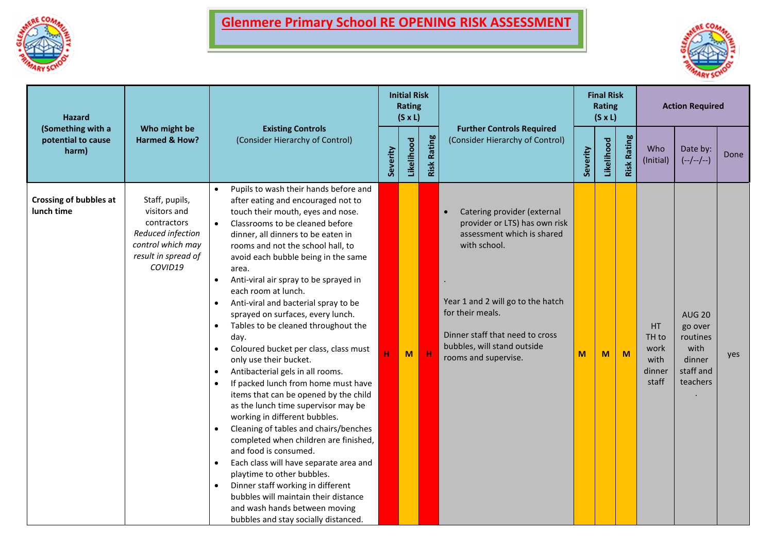



| <b>Hazard</b><br>(Something with a<br>potential to cause |                                                                                                                           |                                                                                                                                                                                                                                                                                                                                                                                                                                                                                                                                                                                                                                                                                                                                                                                                                                                                                                                                                                                                                                                                                                                                                                                                                                   |          | <b>Initial Risk</b><br>Rating<br>$(S \times L)$ |                    |                                                                                                                                                                                                                                                               |          | <b>Final Risk</b><br>Rating<br>$(S \times L)$ |                    |                                                           | <b>Action Required</b>                                                          |      |
|----------------------------------------------------------|---------------------------------------------------------------------------------------------------------------------------|-----------------------------------------------------------------------------------------------------------------------------------------------------------------------------------------------------------------------------------------------------------------------------------------------------------------------------------------------------------------------------------------------------------------------------------------------------------------------------------------------------------------------------------------------------------------------------------------------------------------------------------------------------------------------------------------------------------------------------------------------------------------------------------------------------------------------------------------------------------------------------------------------------------------------------------------------------------------------------------------------------------------------------------------------------------------------------------------------------------------------------------------------------------------------------------------------------------------------------------|----------|-------------------------------------------------|--------------------|---------------------------------------------------------------------------------------------------------------------------------------------------------------------------------------------------------------------------------------------------------------|----------|-----------------------------------------------|--------------------|-----------------------------------------------------------|---------------------------------------------------------------------------------|------|
| harm)                                                    | Who might be<br>Harmed & How?                                                                                             | <b>Existing Controls</b><br>(Consider Hierarchy of Control)                                                                                                                                                                                                                                                                                                                                                                                                                                                                                                                                                                                                                                                                                                                                                                                                                                                                                                                                                                                                                                                                                                                                                                       | Severity | Likelihood                                      | <b>Risk Rating</b> | <b>Further Controls Required</b><br>(Consider Hierarchy of Control)                                                                                                                                                                                           | Severity | Likelihood                                    | <b>Risk Rating</b> | Who<br>(Initial)                                          | Date by:<br>$(-/-/-/-)$                                                         | Done |
| <b>Crossing of bubbles at</b><br>lunch time              | Staff, pupils,<br>visitors and<br>contractors<br>Reduced infection<br>control which may<br>result in spread of<br>COVID19 | Pupils to wash their hands before and<br>$\bullet$<br>after eating and encouraged not to<br>touch their mouth, eyes and nose.<br>Classrooms to be cleaned before<br>$\bullet$<br>dinner, all dinners to be eaten in<br>rooms and not the school hall, to<br>avoid each bubble being in the same<br>area.<br>Anti-viral air spray to be sprayed in<br>$\bullet$<br>each room at lunch.<br>Anti-viral and bacterial spray to be<br>$\bullet$<br>sprayed on surfaces, every lunch.<br>Tables to be cleaned throughout the<br>$\bullet$<br>day.<br>Coloured bucket per class, class must<br>$\bullet$<br>only use their bucket.<br>Antibacterial gels in all rooms.<br>$\bullet$<br>If packed lunch from home must have<br>$\bullet$<br>items that can be opened by the child<br>as the lunch time supervisor may be<br>working in different bubbles.<br>Cleaning of tables and chairs/benches<br>$\bullet$<br>completed when children are finished,<br>and food is consumed.<br>Each class will have separate area and<br>$\bullet$<br>playtime to other bubbles.<br>Dinner staff working in different<br>$\bullet$<br>bubbles will maintain their distance<br>and wash hands between moving<br>bubbles and stay socially distanced. | н        | M                                               | <b>H</b>           | Catering provider (external<br>provider or LTS) has own risk<br>assessment which is shared<br>with school.<br>Year 1 and 2 will go to the hatch<br>for their meals.<br>Dinner staff that need to cross<br>bubbles, will stand outside<br>rooms and supervise. | M        | M                                             | M                  | HT<br>TH <sub>to</sub><br>work<br>with<br>dinner<br>staff | <b>AUG 20</b><br>go over<br>routines<br>with<br>dinner<br>staff and<br>teachers | yes  |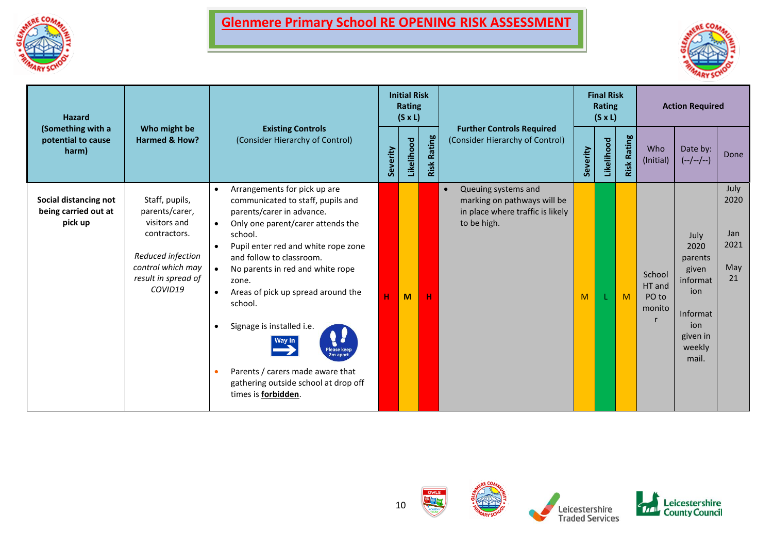



| <b>Hazard</b><br>(Something with a<br>potential to cause |                                                                                                                                              |                                                                                                                                                                                                                                                                                                                                                                                                                                                                                                                                                      |          | <b>Initial Risk</b><br>Rating<br>$(S \times L)$ |                    |                                                                                                                    |          | <b>Final Risk</b><br><b>Rating</b><br>$(S \times L)$ |                    |                                     | <b>Action Required</b>                                                                                |                                          |
|----------------------------------------------------------|----------------------------------------------------------------------------------------------------------------------------------------------|------------------------------------------------------------------------------------------------------------------------------------------------------------------------------------------------------------------------------------------------------------------------------------------------------------------------------------------------------------------------------------------------------------------------------------------------------------------------------------------------------------------------------------------------------|----------|-------------------------------------------------|--------------------|--------------------------------------------------------------------------------------------------------------------|----------|------------------------------------------------------|--------------------|-------------------------------------|-------------------------------------------------------------------------------------------------------|------------------------------------------|
| harm)                                                    | Who might be<br>Harmed & How?                                                                                                                | <b>Existing Controls</b><br>(Consider Hierarchy of Control)                                                                                                                                                                                                                                                                                                                                                                                                                                                                                          | Severity | Likelihood                                      | <b>Risk Rating</b> | <b>Further Controls Required</b><br>(Consider Hierarchy of Control)                                                | Severity | Likelihood                                           | <b>Risk Rating</b> | Who<br>(Initial)                    | Date by:<br>$(-/-/-/-)$                                                                               | Done                                     |
| Social distancing not<br>being carried out at<br>pick up | Staff, pupils,<br>parents/carer,<br>visitors and<br>contractors.<br>Reduced infection<br>control which may<br>result in spread of<br>COVID19 | Arrangements for pick up are<br>communicated to staff, pupils and<br>parents/carer in advance.<br>Only one parent/carer attends the<br>$\bullet$<br>school.<br>Pupil enter red and white rope zone<br>$\bullet$<br>and follow to classroom.<br>No parents in red and white rope<br>$\bullet$<br>zone.<br>Areas of pick up spread around the<br>$\bullet$<br>school.<br>Signage is installed i.e.<br>$\bullet$<br>Way in<br>Please kee<br>2m apart<br>Parents / carers made aware that<br>gathering outside school at drop off<br>times is forbidden. | н        | M                                               | Н                  | Queuing systems and<br>$\bullet$<br>marking on pathways will be<br>in place where traffic is likely<br>to be high. | M        |                                                      | M                  | School<br>HT and<br>PO to<br>monito | July<br>2020<br>parents<br>given<br>informat<br>ion<br>Informat<br>ion<br>given in<br>weekly<br>mail. | July<br>2020<br>Jan<br>2021<br>May<br>21 |

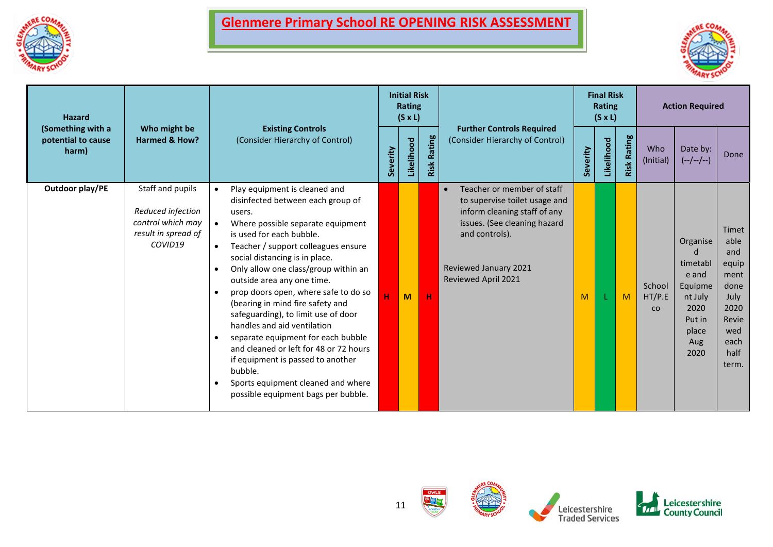



| <b>Hazard</b><br>(Something with a<br>potential to cause |                                                                                              |                                                                                                                                                                                                                                                                                                                                                                                                                                                                                                                                                                                                                                                                                                    |          | <b>Initial Risk</b><br><b>Rating</b><br>$(S \times L)$ |                |                                                                                                                                                                                                            |          | <b>Final Risk</b><br><b>Rating</b><br>$(S \times L)$ |                    |                        | <b>Action Required</b>                                                                        |                                                                                                        |
|----------------------------------------------------------|----------------------------------------------------------------------------------------------|----------------------------------------------------------------------------------------------------------------------------------------------------------------------------------------------------------------------------------------------------------------------------------------------------------------------------------------------------------------------------------------------------------------------------------------------------------------------------------------------------------------------------------------------------------------------------------------------------------------------------------------------------------------------------------------------------|----------|--------------------------------------------------------|----------------|------------------------------------------------------------------------------------------------------------------------------------------------------------------------------------------------------------|----------|------------------------------------------------------|--------------------|------------------------|-----------------------------------------------------------------------------------------------|--------------------------------------------------------------------------------------------------------|
| harm)                                                    | Who might be<br>Harmed & How?                                                                | <b>Existing Controls</b><br>(Consider Hierarchy of Control)                                                                                                                                                                                                                                                                                                                                                                                                                                                                                                                                                                                                                                        | Severity | Likelihood                                             | Rating<br>Risk | <b>Further Controls Required</b><br>(Consider Hierarchy of Control)                                                                                                                                        | Severity | Likelihood                                           | <b>Risk Rating</b> | Who<br>(Initial)       | Date by:<br>$(-/-/-/-)$                                                                       | Done                                                                                                   |
| Outdoor play/PE                                          | Staff and pupils<br>Reduced infection<br>control which may<br>result in spread of<br>COVID19 | Play equipment is cleaned and<br>disinfected between each group of<br>users.<br>Where possible separate equipment<br>$\bullet$<br>is used for each bubble.<br>Teacher / support colleagues ensure<br>$\bullet$<br>social distancing is in place.<br>Only allow one class/group within an<br>outside area any one time.<br>prop doors open, where safe to do so<br>$\bullet$<br>(bearing in mind fire safety and<br>safeguarding), to limit use of door<br>handles and aid ventilation<br>separate equipment for each bubble<br>and cleaned or left for 48 or 72 hours<br>if equipment is passed to another<br>bubble.<br>Sports equipment cleaned and where<br>possible equipment bags per bubble. | н        | M                                                      | н              | Teacher or member of staff<br>$\bullet$<br>to supervise toilet usage and<br>inform cleaning staff of any<br>issues. (See cleaning hazard<br>and controls).<br>Reviewed January 2021<br>Reviewed April 2021 | M        |                                                      | M                  | School<br>HT/P.E<br>co | Organise<br>timetabl<br>e and<br>Equipme<br>nt July<br>2020<br>Put in<br>place<br>Aug<br>2020 | Timet<br>able<br>and<br>equip<br>ment<br>done<br>July<br>2020<br>Revie<br>wed<br>each<br>half<br>term. |



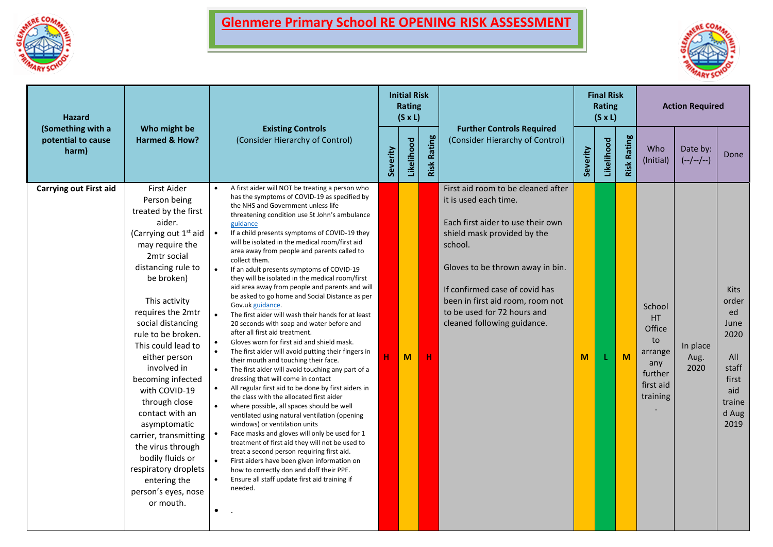



| <b>Hazard</b><br>(Something with a<br>potential to cause |                                                                                                                                                                                                                                                                                                                                                                                                                                                                                                                                                                |                                                                                                                                                                                                                                                                                                                                                                                                                                                                                                                                                                                                                                                                                                                                                                                                                                                                                                                                                                                                                                                                                                                                                                                                                                                                                                                                                                                                                                                                                                                                                                                        |          | <b>Initial Risk</b><br>Rating<br>$(S \times L)$ |                    |                                                                                                                                                                                                                                                                                                                    |          | <b>Final Risk</b><br>Rating<br>$(S \times L)$ |                    |                                                                                     | <b>Action Required</b>   |                                                                                                |
|----------------------------------------------------------|----------------------------------------------------------------------------------------------------------------------------------------------------------------------------------------------------------------------------------------------------------------------------------------------------------------------------------------------------------------------------------------------------------------------------------------------------------------------------------------------------------------------------------------------------------------|----------------------------------------------------------------------------------------------------------------------------------------------------------------------------------------------------------------------------------------------------------------------------------------------------------------------------------------------------------------------------------------------------------------------------------------------------------------------------------------------------------------------------------------------------------------------------------------------------------------------------------------------------------------------------------------------------------------------------------------------------------------------------------------------------------------------------------------------------------------------------------------------------------------------------------------------------------------------------------------------------------------------------------------------------------------------------------------------------------------------------------------------------------------------------------------------------------------------------------------------------------------------------------------------------------------------------------------------------------------------------------------------------------------------------------------------------------------------------------------------------------------------------------------------------------------------------------------|----------|-------------------------------------------------|--------------------|--------------------------------------------------------------------------------------------------------------------------------------------------------------------------------------------------------------------------------------------------------------------------------------------------------------------|----------|-----------------------------------------------|--------------------|-------------------------------------------------------------------------------------|--------------------------|------------------------------------------------------------------------------------------------|
| harm)                                                    | Who might be<br>Harmed & How?                                                                                                                                                                                                                                                                                                                                                                                                                                                                                                                                  | <b>Existing Controls</b><br>(Consider Hierarchy of Control)                                                                                                                                                                                                                                                                                                                                                                                                                                                                                                                                                                                                                                                                                                                                                                                                                                                                                                                                                                                                                                                                                                                                                                                                                                                                                                                                                                                                                                                                                                                            | Severity | Likelihood                                      | <b>Risk Rating</b> | <b>Further Controls Required</b><br>(Consider Hierarchy of Control)                                                                                                                                                                                                                                                | Severity | Likelihood                                    | <b>Risk Rating</b> | Who<br>(Initial)                                                                    | Date by:<br>$(-/-/-/-)$  | Done                                                                                           |
| <b>Carrying out First aid</b>                            | <b>First Aider</b><br>Person being<br>treated by the first<br>aider.<br>(Carrying out 1 <sup>st</sup> aid<br>may require the<br>2mtr social<br>distancing rule to<br>be broken)<br>This activity<br>requires the 2mtr<br>social distancing<br>rule to be broken.<br>This could lead to<br>either person<br>involved in<br>becoming infected<br>with COVID-19<br>through close<br>contact with an<br>asymptomatic<br>carrier, transmitting<br>the virus through<br>bodily fluids or<br>respiratory droplets<br>entering the<br>person's eyes, nose<br>or mouth. | A first aider will NOT be treating a person who<br>has the symptoms of COVID-19 as specified by<br>the NHS and Government unless life<br>threatening condition use St John's ambulance<br>guidance<br>If a child presents symptoms of COVID-19 they<br>will be isolated in the medical room/first aid<br>area away from people and parents called to<br>collect them.<br>If an adult presents symptoms of COVID-19<br>they will be isolated in the medical room/first<br>aid area away from people and parents and will<br>be asked to go home and Social Distance as per<br>Gov.uk guidance.<br>The first aider will wash their hands for at least<br>20 seconds with soap and water before and<br>after all first aid treatment.<br>Gloves worn for first aid and shield mask.<br>$\bullet$<br>$\bullet$<br>The first aider will avoid putting their fingers in<br>their mouth and touching their face.<br>The first aider will avoid touching any part of a<br>dressing that will come in contact<br>All regular first aid to be done by first aiders in<br>$\bullet$<br>the class with the allocated first aider<br>where possible, all spaces should be well<br>ventilated using natural ventilation (opening<br>windows) or ventilation units<br>Face masks and gloves will only be used for 1<br>treatment of first aid they will not be used to<br>treat a second person requiring first aid.<br>$\bullet$<br>First aiders have been given information on<br>how to correctly don and doff their PPE.<br>Ensure all staff update first aid training if<br>needed.<br>$\bullet$ | н        | M                                               | н                  | First aid room to be cleaned after<br>it is used each time.<br>Each first aider to use their own<br>shield mask provided by the<br>school.<br>Gloves to be thrown away in bin.<br>If confirmed case of covid has<br>been in first aid room, room not<br>to be used for 72 hours and<br>cleaned following guidance. | M        |                                               | M                  | School<br>HT.<br>Office<br>to<br>arrange<br>any<br>further<br>first aid<br>training | In place<br>Aug.<br>2020 | Kits<br>order<br>ed<br>June<br>2020<br>All<br>staff<br>first<br>aid<br>traine<br>d Aug<br>2019 |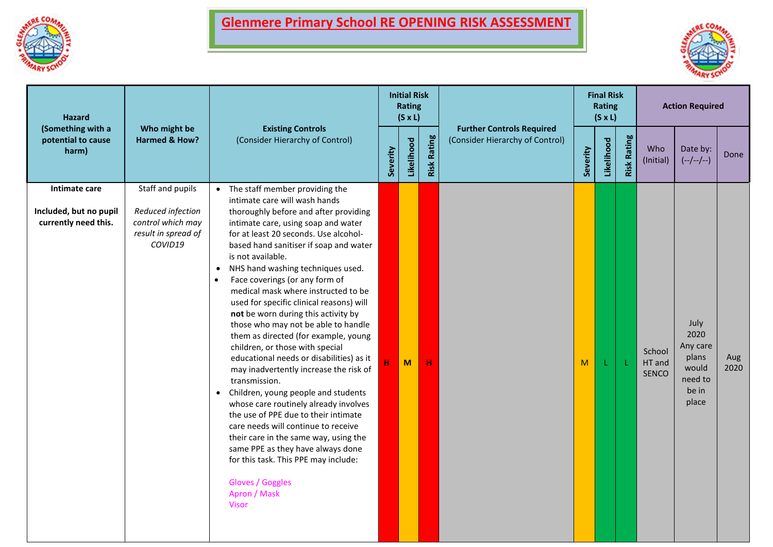



| <b>Hazard</b>                                                   |                                                                                              | <b>Initial Risk</b><br>Rating<br>$(S \times L)$                                                                                                                                                                                                                                                                                                                                                                                                                                                                                                                                                                                                                                                                                                                                                                                                                                                                                                                                                                                                          |          |                                  |              |                                                                     |          |            | <b>Final Risk</b><br>Rating<br>$(S \times L)$ |                           |                                                                         | <b>Action Required</b> |  |  |
|-----------------------------------------------------------------|----------------------------------------------------------------------------------------------|----------------------------------------------------------------------------------------------------------------------------------------------------------------------------------------------------------------------------------------------------------------------------------------------------------------------------------------------------------------------------------------------------------------------------------------------------------------------------------------------------------------------------------------------------------------------------------------------------------------------------------------------------------------------------------------------------------------------------------------------------------------------------------------------------------------------------------------------------------------------------------------------------------------------------------------------------------------------------------------------------------------------------------------------------------|----------|----------------------------------|--------------|---------------------------------------------------------------------|----------|------------|-----------------------------------------------|---------------------------|-------------------------------------------------------------------------|------------------------|--|--|
| (Something with a<br>potential to cause<br>harm)                | Who might be<br>Harmed & How?                                                                | <b>Existing Controls</b><br>(Consider Hierarchy of Control)                                                                                                                                                                                                                                                                                                                                                                                                                                                                                                                                                                                                                                                                                                                                                                                                                                                                                                                                                                                              | Severity | <b>Risk Rating</b><br>Likelihood |              | <b>Further Controls Required</b><br>(Consider Hierarchy of Control) | Severity | Likelihood | <b>Risk Rating</b>                            | Who<br>(Initial)          | Date by:<br>$(-/-/-/-)$                                                 | Done                   |  |  |
| Intimate care<br>Included, but no pupil<br>currently need this. | Staff and pupils<br>Reduced infection<br>control which may<br>result in spread of<br>COVID19 | • The staff member providing the<br>intimate care will wash hands<br>thoroughly before and after providing<br>intimate care, using soap and water<br>for at least 20 seconds. Use alcohol-<br>based hand sanitiser if soap and water<br>is not available.<br>NHS hand washing techniques used.<br>$\bullet$<br>Face coverings (or any form of<br>$\bullet$<br>medical mask where instructed to be<br>used for specific clinical reasons) will<br>not be worn during this activity by<br>those who may not be able to handle<br>them as directed (for example, young<br>children, or those with special<br>educational needs or disabilities) as it<br>may inadvertently increase the risk of<br>transmission.<br>• Children, young people and students<br>whose care routinely already involves<br>the use of PPE due to their intimate<br>care needs will continue to receive<br>their care in the same way, using the<br>same PPE as they have always done<br>for this task. This PPE may include:<br>Gloves / Goggles<br>Apron / Mask<br><b>Visor</b> | H.       | M                                | $\mathbf{H}$ |                                                                     | M.       |            | L.                                            | School<br>HT and<br>SENCO | July<br>2020<br>Any care<br>plans<br>would<br>need to<br>be in<br>place | Aug<br>2020            |  |  |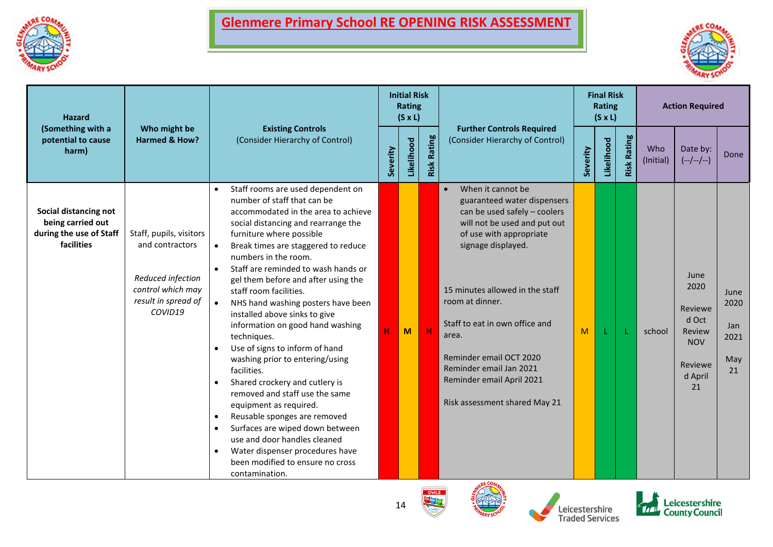



| <b>Hazard</b>                                                                       |                                                                                                                        |                                                                                                                                                                                                                                                                                                                                                                                                                                                                                                                                                                                                                                                                                                                                                                                                                                                                                                               |          | <b>Initial Risk</b><br>Rating<br>$(S \times L)$ |                  | <b>Further Controls Required</b>                                                                                                                                                                                                                                                                                                                                                                                      | <b>Final Risk</b><br><b>Rating</b><br>$(S \times L)$ |            |                    | <b>Action Required</b> |                                                                                      |                                          |
|-------------------------------------------------------------------------------------|------------------------------------------------------------------------------------------------------------------------|---------------------------------------------------------------------------------------------------------------------------------------------------------------------------------------------------------------------------------------------------------------------------------------------------------------------------------------------------------------------------------------------------------------------------------------------------------------------------------------------------------------------------------------------------------------------------------------------------------------------------------------------------------------------------------------------------------------------------------------------------------------------------------------------------------------------------------------------------------------------------------------------------------------|----------|-------------------------------------------------|------------------|-----------------------------------------------------------------------------------------------------------------------------------------------------------------------------------------------------------------------------------------------------------------------------------------------------------------------------------------------------------------------------------------------------------------------|------------------------------------------------------|------------|--------------------|------------------------|--------------------------------------------------------------------------------------|------------------------------------------|
| (Something with a<br>potential to cause<br>harm)                                    | Who might be<br>Harmed & How?                                                                                          | <b>Existing Controls</b><br>(Consider Hierarchy of Control)                                                                                                                                                                                                                                                                                                                                                                                                                                                                                                                                                                                                                                                                                                                                                                                                                                                   | Severity | Likelihood                                      | Rating<br>Risk I | (Consider Hierarchy of Control)                                                                                                                                                                                                                                                                                                                                                                                       | Severity                                             | Likelihood | <b>Risk Rating</b> | Who<br>(Initial)       | Date by:<br>$(-/-/-/-)$                                                              | Done                                     |
| Social distancing not<br>being carried out<br>during the use of Staff<br>facilities | Staff, pupils, visitors<br>and contractors<br>Reduced infection<br>control which may<br>result in spread of<br>COVID19 | Staff rooms are used dependent on<br>number of staff that can be<br>accommodated in the area to achieve<br>social distancing and rearrange the<br>furniture where possible<br>Break times are staggered to reduce<br>$\bullet$<br>numbers in the room.<br>Staff are reminded to wash hands or<br>gel them before and after using the<br>staff room facilities.<br>NHS hand washing posters have been<br>$\bullet$<br>installed above sinks to give<br>information on good hand washing<br>techniques.<br>Use of signs to inform of hand<br>washing prior to entering/using<br>facilities.<br>Shared crockery and cutlery is<br>$\bullet$<br>removed and staff use the same<br>equipment as required.<br>Reusable sponges are removed<br>Surfaces are wiped down between<br>use and door handles cleaned<br>Water dispenser procedures have<br>$\bullet$<br>been modified to ensure no cross<br>contamination. | н        | M                                               | $\mathbf H$      | When it cannot be<br>$\bullet$<br>guaranteed water dispensers<br>can be used safely - coolers<br>will not be used and put out<br>of use with appropriate<br>signage displayed.<br>15 minutes allowed in the staff<br>room at dinner.<br>Staff to eat in own office and<br>area.<br>Reminder email OCT 2020<br>Reminder email Jan 2021<br>Reminder email April 2021<br>Risk assessment shared May 21<br><b>AE COM.</b> | M                                                    |            |                    | school                 | June<br>2020<br>Reviewe<br>d Oct<br>Review<br><b>NOV</b><br>Reviewe<br>d April<br>21 | June<br>2020<br>Jan<br>2021<br>May<br>21 |



owLS **Cologles** 





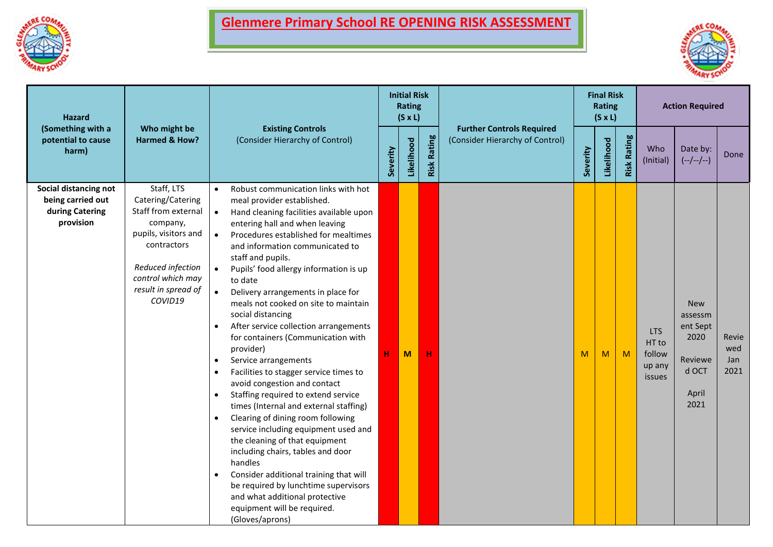



| <b>Hazard</b><br>(Something with a<br>Who might be<br><b>Existing Controls</b> |                                                                                                                                                                                       |                                                                                                                                                                                                                                                                                                                                                                                                                                                                                                                                                                                                                                                                                                                                                                                                                                                                                                                                                                                                                                                                                                                                    | <b>Initial Risk</b><br><b>Rating</b><br>$(S \times L)$ |            |                    | <b>Final Risk</b><br><b>Rating</b><br>$(S \times L)$                |          |            | <b>Action Required</b> |                                                   |                                                                                |                             |
|--------------------------------------------------------------------------------|---------------------------------------------------------------------------------------------------------------------------------------------------------------------------------------|------------------------------------------------------------------------------------------------------------------------------------------------------------------------------------------------------------------------------------------------------------------------------------------------------------------------------------------------------------------------------------------------------------------------------------------------------------------------------------------------------------------------------------------------------------------------------------------------------------------------------------------------------------------------------------------------------------------------------------------------------------------------------------------------------------------------------------------------------------------------------------------------------------------------------------------------------------------------------------------------------------------------------------------------------------------------------------------------------------------------------------|--------------------------------------------------------|------------|--------------------|---------------------------------------------------------------------|----------|------------|------------------------|---------------------------------------------------|--------------------------------------------------------------------------------|-----------------------------|
| potential to cause<br>harm)                                                    | Harmed & How?                                                                                                                                                                         | (Consider Hierarchy of Control)                                                                                                                                                                                                                                                                                                                                                                                                                                                                                                                                                                                                                                                                                                                                                                                                                                                                                                                                                                                                                                                                                                    | Severity                                               | Likelihood | <b>Risk Rating</b> | <b>Further Controls Required</b><br>(Consider Hierarchy of Control) | Severity | Likelihood | <b>Risk Rating</b>     | Who<br>(Initial)                                  | Date by:<br>$(-/-/-/-)$                                                        | Done                        |
| Social distancing not<br>being carried out<br>during Catering<br>provision     | Staff, LTS<br>Catering/Catering<br>Staff from external<br>company,<br>pupils, visitors and<br>contractors<br>Reduced infection<br>control which may<br>result in spread of<br>COVID19 | Robust communication links with hot<br>$\bullet$<br>meal provider established.<br>Hand cleaning facilities available upon<br>$\bullet$<br>entering hall and when leaving<br>Procedures established for mealtimes<br>$\bullet$<br>and information communicated to<br>staff and pupils.<br>Pupils' food allergy information is up<br>to date<br>Delivery arrangements in place for<br>$\bullet$<br>meals not cooked on site to maintain<br>social distancing<br>After service collection arrangements<br>for containers (Communication with<br>provider)<br>Service arrangements<br>$\bullet$<br>Facilities to stagger service times to<br>avoid congestion and contact<br>Staffing required to extend service<br>$\bullet$<br>times (Internal and external staffing)<br>Clearing of dining room following<br>$\bullet$<br>service including equipment used and<br>the cleaning of that equipment<br>including chairs, tables and door<br>handles<br>Consider additional training that will<br>$\bullet$<br>be required by lunchtime supervisors<br>and what additional protective<br>equipment will be required.<br>(Gloves/aprons) | н                                                      | M          | H                  |                                                                     | M        | M          | M                      | <b>LTS</b><br>HT to<br>follow<br>up any<br>issues | <b>New</b><br>assessm<br>ent Sept<br>2020<br>Reviewe<br>d OCT<br>April<br>2021 | Revie<br>wed<br>Jan<br>2021 |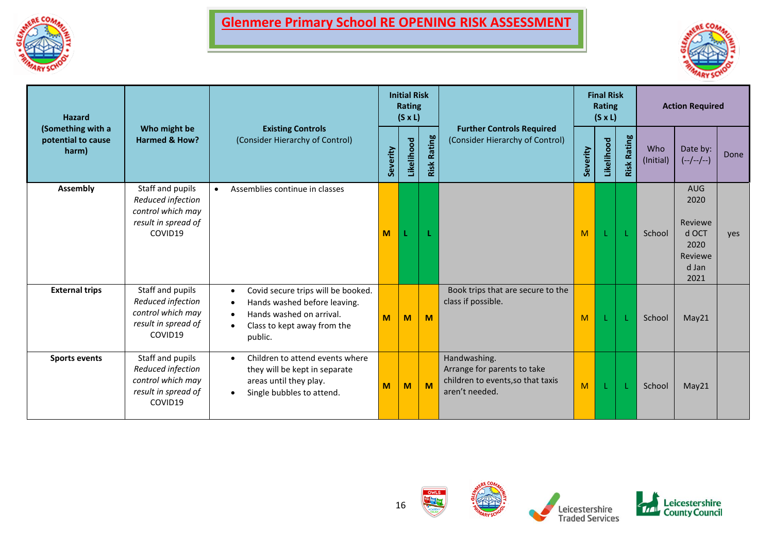



| <b>Hazard</b>                                    |                                                                                              |                                                                                                                                                                                              | <b>Initial Risk</b><br><b>Rating</b><br>$(S \times L)$ |            |                | <b>Final Risk</b><br>Rating<br>$(S \times L)$                                                      |          |            | <b>Action Required</b> |                  |                                                                            |      |
|--------------------------------------------------|----------------------------------------------------------------------------------------------|----------------------------------------------------------------------------------------------------------------------------------------------------------------------------------------------|--------------------------------------------------------|------------|----------------|----------------------------------------------------------------------------------------------------|----------|------------|------------------------|------------------|----------------------------------------------------------------------------|------|
| (Something with a<br>potential to cause<br>harm) | Who might be<br>Harmed & How?                                                                | <b>Existing Controls</b><br>(Consider Hierarchy of Control)                                                                                                                                  | Severity                                               | Likelihood | Rating<br>Risk | <b>Further Controls Required</b><br>(Consider Hierarchy of Control)                                | Severity | Likelihood | <b>Risk Rating</b>     | Who<br>(Initial) | Date by:<br>$(-/-/-/-)$                                                    | Done |
| <b>Assembly</b>                                  | Staff and pupils<br>Reduced infection<br>control which may<br>result in spread of<br>COVID19 | Assemblies continue in classes                                                                                                                                                               | M                                                      |            | -1             |                                                                                                    | M        |            |                        | School           | <b>AUG</b><br>2020<br>Reviewe<br>d OCT<br>2020<br>Reviewe<br>d Jan<br>2021 | yes  |
| <b>External trips</b>                            | Staff and pupils<br>Reduced infection<br>control which may<br>result in spread of<br>COVID19 | Covid secure trips will be booked.<br>$\bullet$<br>Hands washed before leaving.<br>$\bullet$<br>Hands washed on arrival.<br>$\bullet$<br>Class to kept away from the<br>$\bullet$<br>public. | M                                                      | M          | M              | Book trips that are secure to the<br>class if possible.                                            | M        |            |                        | School           | May21                                                                      |      |
| <b>Sports events</b>                             | Staff and pupils<br>Reduced infection<br>control which may<br>result in spread of<br>COVID19 | Children to attend events where<br>$\bullet$<br>they will be kept in separate<br>areas until they play.<br>Single bubbles to attend.<br>$\bullet$                                            | M                                                      | M          | M              | Handwashing.<br>Arrange for parents to take<br>children to events, so that taxis<br>aren't needed. | M        |            |                        | School           | May21                                                                      |      |



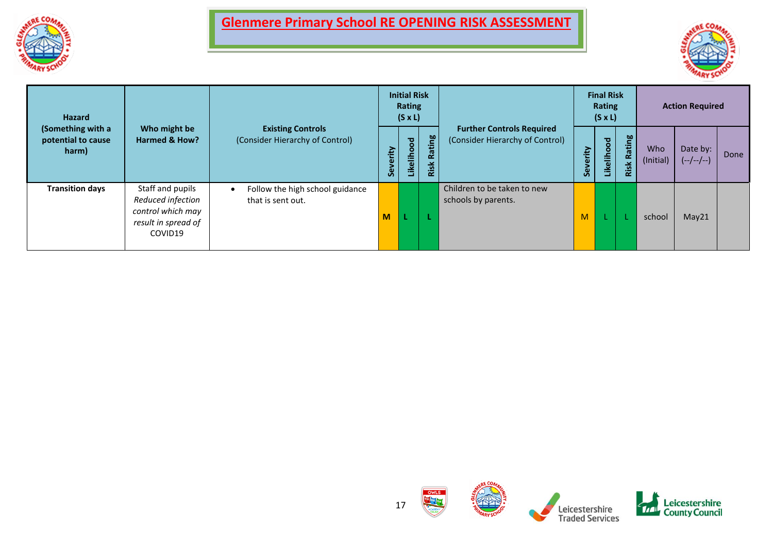



| <b>Hazard</b>                                    |                                                                                              |                                                                   |          | <b>Initial Risk</b><br><b>Rating</b><br>$(S \times L)$ |                |                                                                     |          | <b>Final Risk</b><br>Rating<br>$(S \times L)$ |                | <b>Action Required</b>  |                         |      |
|--------------------------------------------------|----------------------------------------------------------------------------------------------|-------------------------------------------------------------------|----------|--------------------------------------------------------|----------------|---------------------------------------------------------------------|----------|-----------------------------------------------|----------------|-------------------------|-------------------------|------|
| (Something with a<br>potential to cause<br>harm) | Who might be<br>Harmed & How?                                                                | <b>Existing Controls</b><br>(Consider Hierarchy of Control)       | Severity | Likelihood                                             | Rating<br>Risk | <b>Further Controls Required</b><br>(Consider Hierarchy of Control) | Severity | Likelihood                                    | Rating<br>Risk | <b>Who</b><br>(Initial) | Date by:<br>$(-/-/-/-)$ | Done |
| <b>Transition days</b>                           | Staff and pupils<br>Reduced infection<br>control which may<br>result in spread of<br>COVID19 | Follow the high school guidance<br>$\bullet$<br>that is sent out. | M        |                                                        |                | Children to be taken to new<br>schools by parents.                  | M        |                                               |                | school                  | May21                   |      |

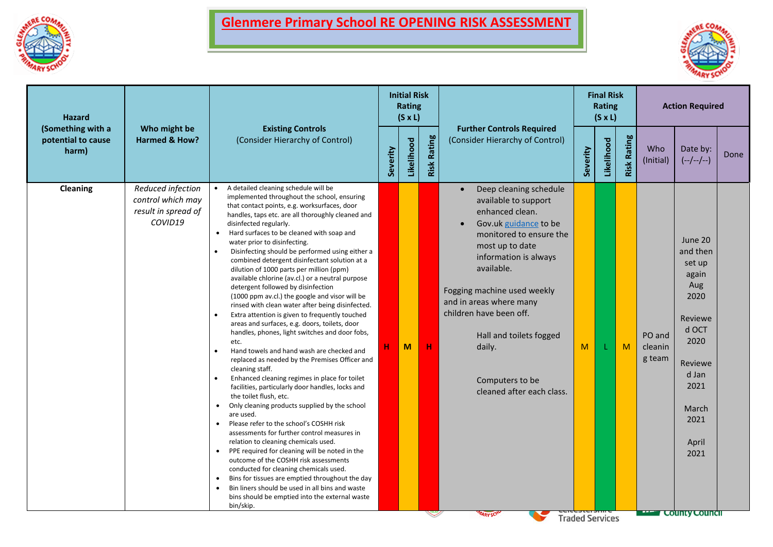



| <b>Hazard</b>                                    | Who might be<br><b>Existing Controls</b>                                 |                                                                                                                                                                                                                                                                                                                                                                                                                                                                                                                                                                                                                                                                                                                                                                                                                                                                                                                                                                                                                                                                                                                                                                                                                                                                                                                                                                                                                                                                                                                                                                                                                                          | <b>Initial Risk</b><br>Rating<br>$(S \times L)$ |            |                    |                                                                                                                                                                                                                                                                                                                                                                                              |          | <b>Final Risk</b><br><b>Rating</b><br>$(S \times L)$ |                    |                             | <b>Action Required</b>                                                                                                                                                          |      |
|--------------------------------------------------|--------------------------------------------------------------------------|------------------------------------------------------------------------------------------------------------------------------------------------------------------------------------------------------------------------------------------------------------------------------------------------------------------------------------------------------------------------------------------------------------------------------------------------------------------------------------------------------------------------------------------------------------------------------------------------------------------------------------------------------------------------------------------------------------------------------------------------------------------------------------------------------------------------------------------------------------------------------------------------------------------------------------------------------------------------------------------------------------------------------------------------------------------------------------------------------------------------------------------------------------------------------------------------------------------------------------------------------------------------------------------------------------------------------------------------------------------------------------------------------------------------------------------------------------------------------------------------------------------------------------------------------------------------------------------------------------------------------------------|-------------------------------------------------|------------|--------------------|----------------------------------------------------------------------------------------------------------------------------------------------------------------------------------------------------------------------------------------------------------------------------------------------------------------------------------------------------------------------------------------------|----------|------------------------------------------------------|--------------------|-----------------------------|---------------------------------------------------------------------------------------------------------------------------------------------------------------------------------|------|
| (Something with a<br>potential to cause<br>harm) | Harmed & How?                                                            | (Consider Hierarchy of Control)                                                                                                                                                                                                                                                                                                                                                                                                                                                                                                                                                                                                                                                                                                                                                                                                                                                                                                                                                                                                                                                                                                                                                                                                                                                                                                                                                                                                                                                                                                                                                                                                          | Severity                                        | Likelihood | <b>Risk Rating</b> | <b>Further Controls Required</b><br>(Consider Hierarchy of Control)                                                                                                                                                                                                                                                                                                                          | Severity | Likelihood                                           | <b>Risk Rating</b> | Who<br>(Initial)            | Date by:<br>$(-/-/-/-)$                                                                                                                                                         | Done |
| Cleaning                                         | Reduced infection<br>control which may<br>result in spread of<br>COVID19 | A detailed cleaning schedule will be<br>implemented throughout the school, ensuring<br>that contact points, e.g. worksurfaces, door<br>handles, taps etc. are all thoroughly cleaned and<br>disinfected regularly.<br>Hard surfaces to be cleaned with soap and<br>$\bullet$<br>water prior to disinfecting.<br>Disinfecting should be performed using either a<br>combined detergent disinfectant solution at a<br>dilution of 1000 parts per million (ppm)<br>available chlorine (av.cl.) or a neutral purpose<br>detergent followed by disinfection<br>(1000 ppm av.cl.) the google and visor will be<br>rinsed with clean water after being disinfected.<br>Extra attention is given to frequently touched<br>areas and surfaces, e.g. doors, toilets, door<br>handles, phones, light switches and door fobs,<br>etc.<br>Hand towels and hand wash are checked and<br>$\bullet$<br>replaced as needed by the Premises Officer and<br>cleaning staff.<br>Enhanced cleaning regimes in place for toilet<br>facilities, particularly door handles, locks and<br>the toilet flush, etc.<br>Only cleaning products supplied by the school<br>$\bullet$<br>are used.<br>Please refer to the school's COSHH risk<br>assessments for further control measures in<br>relation to cleaning chemicals used.<br>PPE required for cleaning will be noted in the<br>$\bullet$<br>outcome of the COSHH risk assessments<br>conducted for cleaning chemicals used.<br>Bins for tissues are emptied throughout the day<br>$\bullet$<br>Bin liners should be used in all bins and waste<br>bins should be emptied into the external waste<br>bin/skip. | н                                               | M          | н                  | Deep cleaning schedule<br>$\bullet$<br>available to support<br>enhanced clean.<br>Gov.uk guidance to be<br>$\bullet$<br>monitored to ensure the<br>most up to date<br>information is always<br>available.<br>Fogging machine used weekly<br>and in areas where many<br>children have been off.<br>Hall and toilets fogged<br>daily.<br>Computers to be<br>cleaned after each class.<br>ARYSC | M        | <b>Traded Services</b>                               | M                  | PO and<br>cleanin<br>g team | June 20<br>and then<br>set up<br>again<br>Aug<br>2020<br>Reviewe<br>d OCT<br>2020<br>Reviewe<br>d Jan<br>2021<br>March<br>2021<br>April<br>2021<br><b>Linear</b> County Council |      |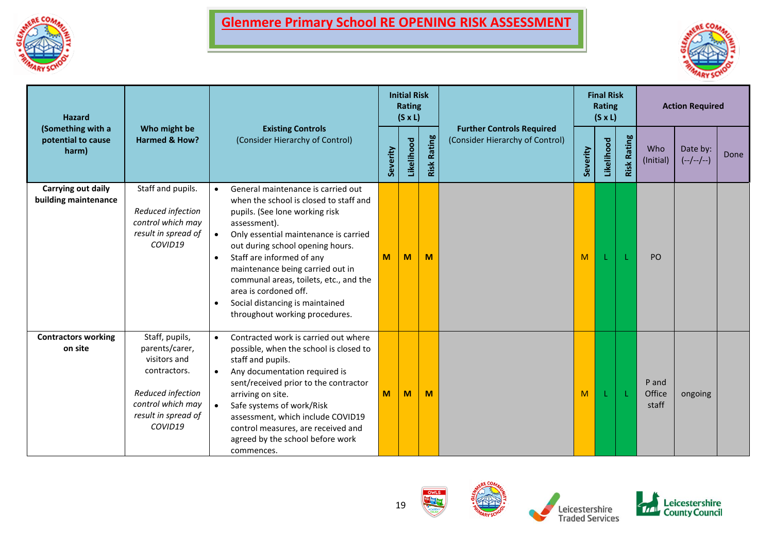



| <b>Hazard</b>                                    |                                                                                                                                              |                                                                                                                                                                                                                                                                                                                                                                                                                                                | <b>Initial Risk</b><br><b>Rating</b><br>$(S \times L)$ |            |                |                                                                     | <b>Final Risk</b><br>Rating<br>$(S \times L)$ |            |                    | <b>Action Required</b>   |                         |      |
|--------------------------------------------------|----------------------------------------------------------------------------------------------------------------------------------------------|------------------------------------------------------------------------------------------------------------------------------------------------------------------------------------------------------------------------------------------------------------------------------------------------------------------------------------------------------------------------------------------------------------------------------------------------|--------------------------------------------------------|------------|----------------|---------------------------------------------------------------------|-----------------------------------------------|------------|--------------------|--------------------------|-------------------------|------|
| (Something with a<br>potential to cause<br>harm) | Who might be<br>Harmed & How?                                                                                                                | <b>Existing Controls</b><br>(Consider Hierarchy of Control)<br>Severity                                                                                                                                                                                                                                                                                                                                                                        |                                                        | Likelihood | Rating<br>Risk | <b>Further Controls Required</b><br>(Consider Hierarchy of Control) | Severity                                      | Likelihood | <b>Risk Rating</b> | Who<br>(Initial)         | Date by:<br>$(-/-/-/-)$ | Done |
| Carrying out daily<br>building maintenance       | Staff and pupils.<br>Reduced infection<br>control which may<br>result in spread of<br>COVID19                                                | General maintenance is carried out<br>when the school is closed to staff and<br>pupils. (See lone working risk<br>assessment).<br>Only essential maintenance is carried<br>out during school opening hours.<br>Staff are informed of any<br>$\bullet$<br>maintenance being carried out in<br>communal areas, toilets, etc., and the<br>area is cordoned off.<br>Social distancing is maintained<br>$\bullet$<br>throughout working procedures. | M                                                      | M          | M              |                                                                     | M                                             |            |                    | <b>PO</b>                |                         |      |
| <b>Contractors working</b><br>on site            | Staff, pupils,<br>parents/carer,<br>visitors and<br>contractors.<br>Reduced infection<br>control which may<br>result in spread of<br>COVID19 | Contracted work is carried out where<br>$\bullet$<br>possible, when the school is closed to<br>staff and pupils.<br>Any documentation required is<br>$\bullet$<br>sent/received prior to the contractor<br>arriving on site.<br>Safe systems of work/Risk<br>assessment, which include COVID19<br>control measures, are received and<br>agreed by the school before work<br>commences.                                                         | M                                                      | M          | M              |                                                                     | M                                             |            | Œ.                 | P and<br>Office<br>staff | ongoing                 |      |





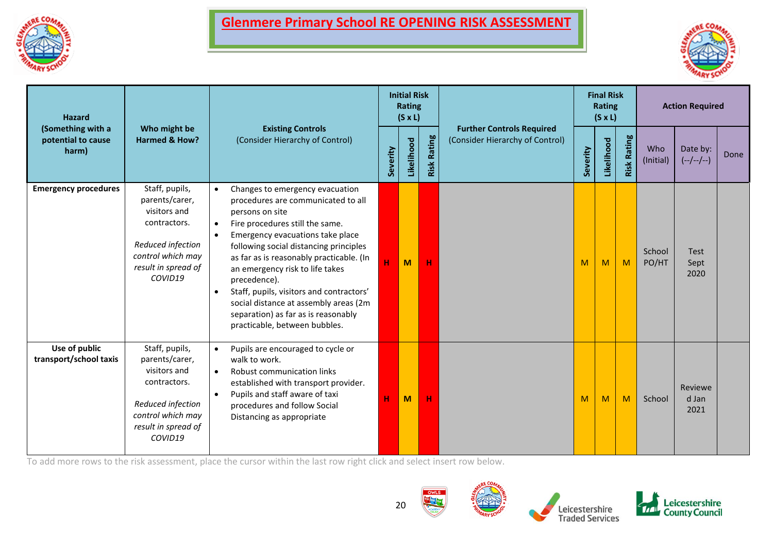



| <b>Hazard</b>                                    |                                                                                                                                              |                                                                                                                                                                                                                                                                                                                                                                                                                                                                                                                           |          | <b>Initial Risk</b><br><b>Rating</b><br>$(S \times L)$ |                  |                                                                     | <b>Final Risk</b><br>Rating<br>$(S \times L)$ |            |                    | <b>Action Required</b> |                             |      |
|--------------------------------------------------|----------------------------------------------------------------------------------------------------------------------------------------------|---------------------------------------------------------------------------------------------------------------------------------------------------------------------------------------------------------------------------------------------------------------------------------------------------------------------------------------------------------------------------------------------------------------------------------------------------------------------------------------------------------------------------|----------|--------------------------------------------------------|------------------|---------------------------------------------------------------------|-----------------------------------------------|------------|--------------------|------------------------|-----------------------------|------|
| (Something with a<br>potential to cause<br>harm) | Who might be<br>Harmed & How?                                                                                                                | <b>Existing Controls</b><br>(Consider Hierarchy of Control)                                                                                                                                                                                                                                                                                                                                                                                                                                                               | Severity | Likelihood                                             | Rating<br>Risk I | <b>Further Controls Required</b><br>(Consider Hierarchy of Control) | Severity                                      | Likelihood | <b>Risk Rating</b> | Who<br>(Initial)       | Date by:<br>$(-/-/-/-)$     | Done |
| <b>Emergency procedures</b>                      | Staff, pupils,<br>parents/carer,<br>visitors and<br>contractors.<br>Reduced infection<br>control which may<br>result in spread of<br>COVID19 | Changes to emergency evacuation<br>$\bullet$<br>procedures are communicated to all<br>persons on site<br>Fire procedures still the same.<br>$\bullet$<br>Emergency evacuations take place<br>$\bullet$<br>following social distancing principles<br>as far as is reasonably practicable. (In<br>an emergency risk to life takes<br>precedence).<br>Staff, pupils, visitors and contractors'<br>$\bullet$<br>social distance at assembly areas (2m<br>separation) as far as is reasonably<br>practicable, between bubbles. | н        | M                                                      | н                |                                                                     | M                                             | M          | M                  | School<br>PO/HT        | <b>Test</b><br>Sept<br>2020 |      |
| Use of public<br>transport/school taxis          | Staff, pupils,<br>parents/carer,<br>visitors and<br>contractors.<br>Reduced infection<br>control which may<br>result in spread of<br>COVID19 | Pupils are encouraged to cycle or<br>$\bullet$<br>walk to work.<br>Robust communication links<br>$\bullet$<br>established with transport provider.<br>Pupils and staff aware of taxi<br>$\bullet$<br>procedures and follow Social<br>Distancing as appropriate                                                                                                                                                                                                                                                            | н        | M                                                      | н                |                                                                     | M                                             | M          | M                  | School                 | Reviewe<br>d Jan<br>2021    |      |

To add more rows to the risk assessment, place the cursor within the last row right click and select insert row below.



20



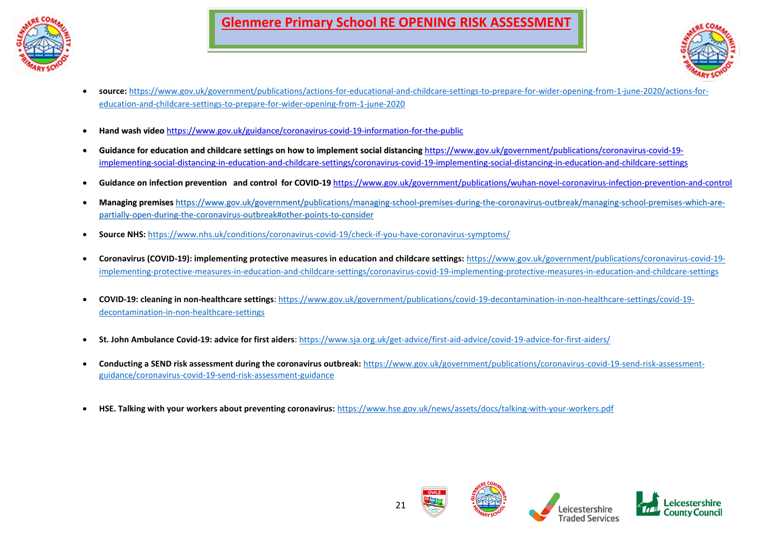



- **source:** [https://www.gov.uk/government/publications/actions-for-educational-and-childcare-settings-to-prepare-for-wider-opening-from-1-june-2020/actions-for](https://www.gov.uk/government/publications/actions-for-educational-and-childcare-settings-to-prepare-for-wider-opening-from-1-june-2020/actions-for-education-and-childcare-settings-to-prepare-for-wider-opening-from-1-june-2020)[education-and-childcare-settings-to-prepare-for-wider-opening-from-1-june-2020](https://www.gov.uk/government/publications/actions-for-educational-and-childcare-settings-to-prepare-for-wider-opening-from-1-june-2020/actions-for-education-and-childcare-settings-to-prepare-for-wider-opening-from-1-june-2020)
- **Hand wash video** <https://www.gov.uk/guidance/coronavirus-covid-19-information-for-the-public>
- Guidance for education and childcare settings on how to implement social distancing [https://www.gov.uk/government/publications/coronavirus-covid-19](https://www.gov.uk/government/publications/coronavirus-covid-19-implementing-social-distancing-in-education-and-childcare-settings/coronavirus-covid-19-implementing-social-distancing-in-education-and-childcare-settings) [implementing-social-distancing-in-education-and-childcare-settings/coronavirus-covid-19-implementing-social-distancing-in-education-and-childcare-settings](https://www.gov.uk/government/publications/coronavirus-covid-19-implementing-social-distancing-in-education-and-childcare-settings/coronavirus-covid-19-implementing-social-distancing-in-education-and-childcare-settings)
- **Guidance on infection prevention and control for COVID-19** <https://www.gov.uk/government/publications/wuhan-novel-coronavirus-infection-prevention-and-control>
- **Managing premises** [https://www.gov.uk/government/publications/managing-school-premises-during-the-coronavirus-outbreak/managing-school-premises-which-are](https://www.gov.uk/government/publications/managing-school-premises-during-the-coronavirus-outbreak/managing-school-premises-which-are-partially-open-during-the-coronavirus-outbreak#other-points-to-consider)[partially-open-during-the-coronavirus-outbreak#other-points-to-consider](https://www.gov.uk/government/publications/managing-school-premises-during-the-coronavirus-outbreak/managing-school-premises-which-are-partially-open-during-the-coronavirus-outbreak#other-points-to-consider)
- **Source NHS:** <https://www.nhs.uk/conditions/coronavirus-covid-19/check-if-you-have-coronavirus-symptoms/>
- **Coronavirus (COVID-19): implementing protective measures in education and childcare settings:** [https://www.gov.uk/government/publications/coronavirus-covid-19](https://www.gov.uk/government/publications/coronavirus-covid-19-implementing-protective-measures-in-education-and-childcare-settings/coronavirus-covid-19-implementing-protective-measures-in-education-and-childcare-settings) [implementing-protective-measures-in-education-and-childcare-settings/coronavirus-covid-19-implementing-protective-measures-in-education-and-childcare-settings](https://www.gov.uk/government/publications/coronavirus-covid-19-implementing-protective-measures-in-education-and-childcare-settings/coronavirus-covid-19-implementing-protective-measures-in-education-and-childcare-settings)
- **COVID-19: cleaning in non-healthcare settings**[: https://www.gov.uk/government/publications/covid-19-decontamination-in-non-healthcare-settings/covid-19](https://www.gov.uk/government/publications/covid-19-decontamination-in-non-healthcare-settings/covid-19-decontamination-in-non-healthcare-settings) [decontamination-in-non-healthcare-settings](https://www.gov.uk/government/publications/covid-19-decontamination-in-non-healthcare-settings/covid-19-decontamination-in-non-healthcare-settings)
- **St. John Ambulance Covid-19: advice for first aiders**:<https://www.sja.org.uk/get-advice/first-aid-advice/covid-19-advice-for-first-aiders/>
- **Conducting a SEND risk assessment during the coronavirus outbreak:** [https://www.gov.uk/government/publications/coronavirus-covid-19-send-risk-assessment](https://www.gov.uk/government/publications/coronavirus-covid-19-send-risk-assessment-guidance/coronavirus-covid-19-send-risk-assessment-guidance)[guidance/coronavirus-covid-19-send-risk-assessment-guidance](https://www.gov.uk/government/publications/coronavirus-covid-19-send-risk-assessment-guidance/coronavirus-covid-19-send-risk-assessment-guidance)
- **HSE. Talking with your workers about preventing coronavirus:** <https://www.hse.gov.uk/news/assets/docs/talking-with-your-workers.pdf>

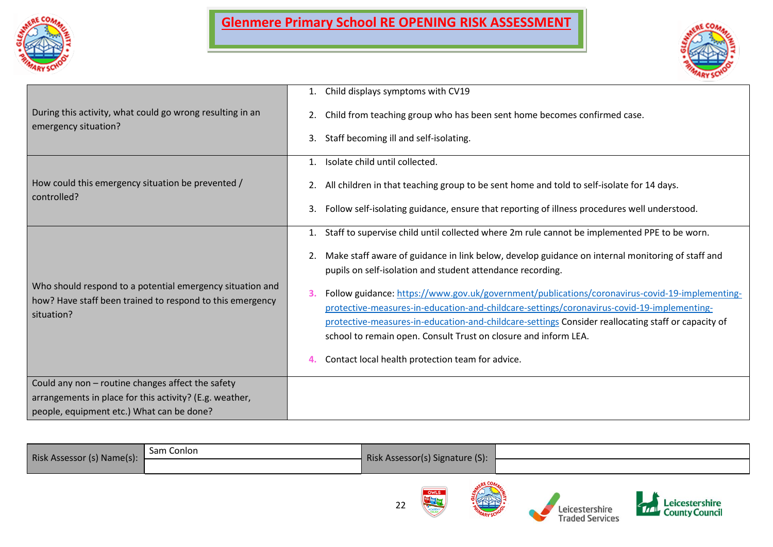



| During this activity, what could go wrong resulting in an<br>emergency situation?                                                                         | Child displays symptoms with CV19<br>Child from teaching group who has been sent home becomes confirmed case.<br>3.<br>Staff becoming ill and self-isolating.                                                                                                                                                                                                                                                                                                                                                                                                                                                                                                                                           |
|-----------------------------------------------------------------------------------------------------------------------------------------------------------|---------------------------------------------------------------------------------------------------------------------------------------------------------------------------------------------------------------------------------------------------------------------------------------------------------------------------------------------------------------------------------------------------------------------------------------------------------------------------------------------------------------------------------------------------------------------------------------------------------------------------------------------------------------------------------------------------------|
| How could this emergency situation be prevented /<br>controlled?                                                                                          | Isolate child until collected.<br>1.<br>All children in that teaching group to be sent home and told to self-isolate for 14 days.<br>2.<br>3.<br>Follow self-isolating guidance, ensure that reporting of illness procedures well understood.                                                                                                                                                                                                                                                                                                                                                                                                                                                           |
| Who should respond to a potential emergency situation and<br>how? Have staff been trained to respond to this emergency<br>situation?                      | Staff to supervise child until collected where 2m rule cannot be implemented PPE to be worn.<br>Make staff aware of guidance in link below, develop guidance on internal monitoring of staff and<br>2.<br>pupils on self-isolation and student attendance recording.<br>Follow guidance: https://www.gov.uk/government/publications/coronavirus-covid-19-implementing-<br>protective-measures-in-education-and-childcare-settings/coronavirus-covid-19-implementing-<br>protective-measures-in-education-and-childcare-settings Consider reallocating staff or capacity of<br>school to remain open. Consult Trust on closure and inform LEA.<br>Contact local health protection team for advice.<br>4. |
| Could any non - routine changes affect the safety<br>arrangements in place for this activity? (E.g. weather,<br>people, equipment etc.) What can be done? |                                                                                                                                                                                                                                                                                                                                                                                                                                                                                                                                                                                                                                                                                                         |

| Risk Assessor (s) Name(s): | Sam Conlon | Risk Assessor(s) Signature (S): |             |                                          |                                             |
|----------------------------|------------|---------------------------------|-------------|------------------------------------------|---------------------------------------------|
|                            |            |                                 |             |                                          |                                             |
|                            |            | 22                              | <b>OWLS</b> | Leicestershire<br><b>Traded Services</b> | Leicestershire<br><b>TAL</b> County Council |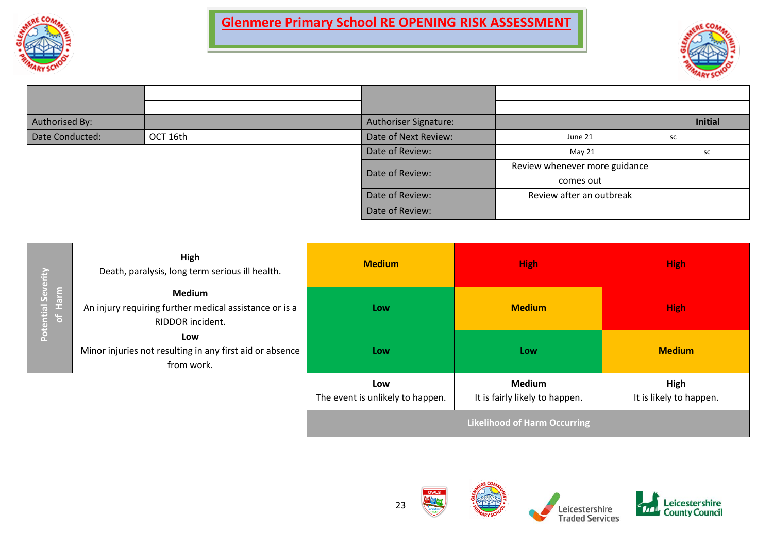



| Authorised By:  |          | Authoriser Signature: |                               | <b>Initial</b> |
|-----------------|----------|-----------------------|-------------------------------|----------------|
| Date Conducted: | OCT 16th | Date of Next Review:  | June 21                       | sc             |
|                 |          | Date of Review:       | May 21                        | sc             |
|                 |          | Date of Review:       | Review whenever more guidance |                |
|                 |          |                       | comes out                     |                |
|                 |          | Date of Review:       | Review after an outbreak      |                |
|                 |          | Date of Review:       |                               |                |

| erity              | High<br>Death, paralysis, long term serious ill health.                                     | <b>Medium</b>                           | <b>High</b>                                     | <b>High</b>                     |
|--------------------|---------------------------------------------------------------------------------------------|-----------------------------------------|-------------------------------------------------|---------------------------------|
| ential Seve<br>O). | <b>Medium</b><br>An injury requiring further medical assistance or is a<br>RIDDOR incident. | Low                                     | <b>Medium</b>                                   | <b>High</b>                     |
| <b>Pote</b>        | Low<br>Minor injuries not resulting in any first aid or absence<br>from work.               | Low                                     | Low                                             | <b>Medium</b>                   |
|                    |                                                                                             | Low<br>The event is unlikely to happen. | <b>Medium</b><br>It is fairly likely to happen. | High<br>It is likely to happen. |
|                    |                                                                                             |                                         | <b>Likelihood of Harm Occurring</b>             |                                 |